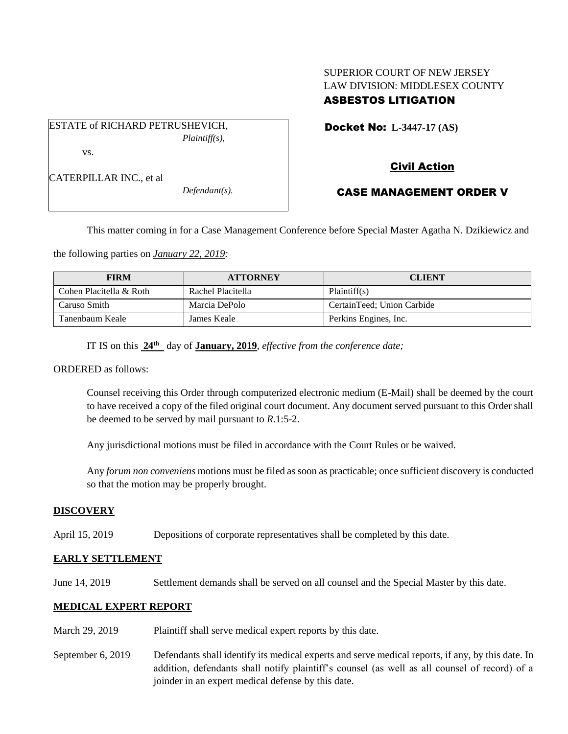# SUPERIOR COURT OF NEW JERSEY LAW DIVISION: MIDDLESEX COUNTY ASBESTOS LITIGATION

ESTATE of RICHARD PETRUSHEVICH, *Plaintiff(s),* vs.

Docket No: **L-3447-17 (AS)** 

CATERPILLAR INC., et al

*Defendant(s).*

# CASE MANAGEMENT ORDER V

Civil Action

This matter coming in for a Case Management Conference before Special Master Agatha N. Dzikiewicz and

the following parties on *January 22, 2019:*

| <b>FIRM</b>             | <b>ATTORNEY</b>   | <b>CLIENT</b>              |
|-------------------------|-------------------|----------------------------|
| Cohen Placitella & Roth | Rachel Placitella | Plaintiff(s)               |
| Caruso Smith            | Marcia DePolo     | CertainTeed; Union Carbide |
| Tanenbaum Keale         | James Keale       | Perkins Engines, Inc.      |

IT IS on this **24th** day of **January, 2019**, *effective from the conference date;*

ORDERED as follows:

Counsel receiving this Order through computerized electronic medium (E-Mail) shall be deemed by the court to have received a copy of the filed original court document. Any document served pursuant to this Order shall be deemed to be served by mail pursuant to *R*.1:5-2.

Any jurisdictional motions must be filed in accordance with the Court Rules or be waived.

Any *forum non conveniens* motions must be filed as soon as practicable; once sufficient discovery is conducted so that the motion may be properly brought.

### **DISCOVERY**

April 15, 2019 Depositions of corporate representatives shall be completed by this date.

## **EARLY SETTLEMENT**

June 14, 2019 Settlement demands shall be served on all counsel and the Special Master by this date.

## **MEDICAL EXPERT REPORT**

- March 29, 2019 Plaintiff shall serve medical expert reports by this date.
- September 6, 2019 Defendants shall identify its medical experts and serve medical reports, if any, by this date. In addition, defendants shall notify plaintiff's counsel (as well as all counsel of record) of a joinder in an expert medical defense by this date.